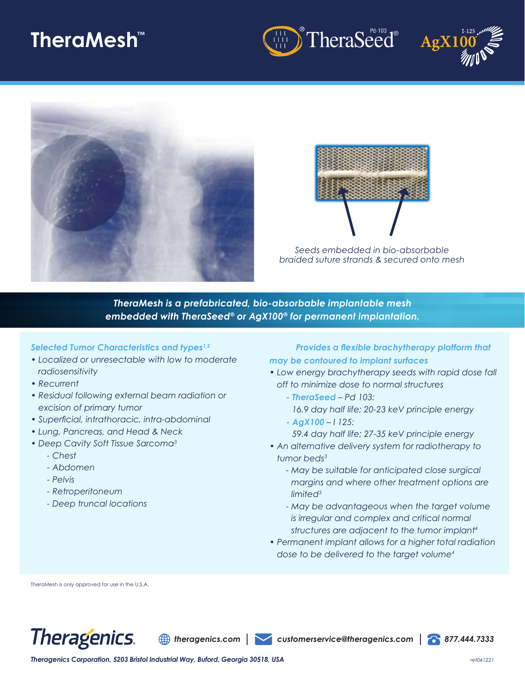# **TheraMesh™**









*Seeds embedded in bio-absorbable braided suture strands & secured onto mesh*

*TheraMesh is a prefabricated, bio-absorbable implantable mesh embedded with TheraSeed® or AgX100® for permanent implantation.* 

### *Selected Tumor Characteristics and types1,2*

- *Localized or unresectable with low to moderate radiosensitivity*
- *Recurrent*
- *Residual following external beam radiation or excision of primary tumor*
- *Superficial, intrathoracic, intra-abdominal*
- *Lung, Pancreas, and Head & Neck*
- *Deep Cavity Soft Tissue Sarcoma3*
	- *Chest*
	- *Abdomen*
	- *Pelvis*
	- *Retroperitoneum*
	- *Deep truncal locations*

### *Provides a flexible brachytherapy platform that may be contoured to implant surfaces*

- *Low energy brachytherapy seeds with rapid dose fall off to minimize dose to normal structures*
	- *TheraSeed Pd 103: 16.9 day half life; 20-23 keV principle energy*
	- *AgX100 I 125: 59.4 day half life; 27-35 keV principle energy*
- *An alternative delivery system for radiotherapy to tumor beds3*
	- *May be suitable for anticipated close surgical margins and where other treatment options are limited3*
	- *May be advantageous when the target volume is irregular and complex and critical normal structures are adjacent to the tumor implant<sup>4</sup>*
- *Permanent implant allows for a higher total radiation dose to be delivered to the target volume<sup>4</sup>*

TheraMesh is only approved for use in the U.S.A.



*theragenics.com customerservice@theragenics.com 877.444.7333*